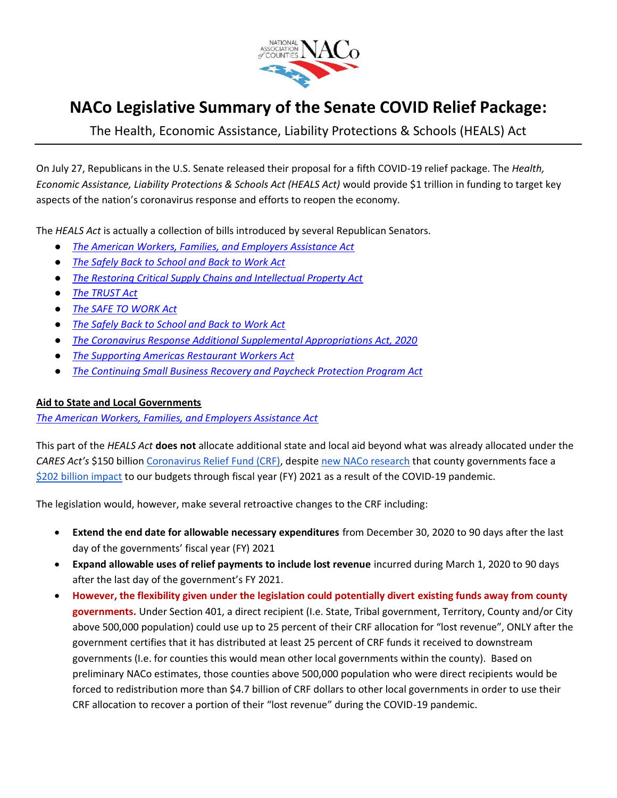

# **NACo Legislative Summary of the Senate COVID Relief Package:**

The Health, Economic Assistance, Liability Protections & Schools (HEALS) Act

On July 27, Republicans in the U.S. Senate released their proposal for a fifth COVID-19 relief package. The *Health, Economic Assistance, Liability Protections & Schools Act (HEALS Act)* would provide \$1 trillion in funding to target key aspects of the nation's coronavirus response and efforts to reopen the economy.

The *HEALS Act* is actually a collection of bills introduced by several Republican Senators.

- *[The American Workers, Families, and Employers Assistance Act](https://www.naco.org/sites/default/files/documents/SFC%20CARES%202.0%20Legislative%20Text.pdf)*
- *[The Safely Back to School and Back to Work Act](https://www.naco.org/sites/default/files/documents/Safely%20Back%20to%20School%20and%20Back%20to%20Work%20Act%20Section%20by%20Section.pdf)*
- *[The Restoring Critical Supply Chains and Intellectual Property Act](https://www.naco.org/sites/default/files/documents/Restoring%20Critical%20Supply%20Chains%20and%20Intellectual%20Property%20Act%20Section%20by%20Section.pdf)*
- *[The TRUST Act](https://www.naco.org/sites/default/files/documents/TRUST%20Act%20Intro%207.27.20%20%28ALB20A87%29.pdf)*
- *[The SAFE TO WORK Act](https://www.naco.org/sites/default/files/documents/SAFE%20TO%20WORK%20ACT%20Section%20by%20Section.pdf)*
- *[The Safely Back to School and Back to Work Act](https://www.naco.org/sites/default/files/documents/TEXT%20Safely%20Back%20to%20School%20and%20Back%20to%20Work%20Act.pdf)*
- *[The Coronavirus Response Additional Supplemental Appropriations Act, 2020](https://www.naco.org/sites/default/files/documents/Coronavirus%20Response%20Additional%20Supplemental%20Appropriations%20Act%20Text.PDF)*
- *[The Supporting Americas Restaurant Workers Act](https://www.naco.org/sites/default/files/documents/Scott%20Supporting%20Americas%20Restaurant%20Workers%20Act.pdf)*
- *[The Continuing Small Business Recovery and Paycheck Protection Program Act](https://www.naco.org/sites/default/files/documents/Continuing%20Small%20Business%20Recovery%20and%20Paycheck%20Protection%20Program%20Act.pdf)*

## **Aid to State and Local Governments**

*[The American Workers, Families, and Employers Assistance Act](https://www.naco.org/sites/default/files/documents/SFC%20CARES%202.0%20Section-by-Section.pdf)*

This part of the *HEALS Act* **does not** allocate additional state and local aid beyond what was already allocated under the *CARES Act's* \$150 billion [Coronavirus Relief Fund \(CRF\),](https://www.naco.org/sites/default/files/documents/NACo%20Brief%20on%20U.S.%20Treasury%20Coronavirus%20Relief%20Fund%20Guidance_6.8.20.pdf) despite [new NACo research](http://send.naco.org/link.cfm?r=4-hKO9XPYO_d8keRORzueg~~&pe=C-WPWGjPy1shjbBUMPdhcPJwM5cXy92bQD2Ox1HvF2fAKlwkO2ASUlN-Yj9LmqzoQgzbg6W7Zk8Q2AsfxioAkQ~~&t=JPICOiGqtIZbxpcLhIPBiQ~~) that county governments face a [\\$202 billion impact](https://www.naco.org/resources/press/fiscal-impacts-covid-19-could-reach-202-billion-counties-direct-and-flexible-funding) to our budgets through fiscal year (FY) 2021 as a result of the COVID-19 pandemic.

The legislation would, however, make several retroactive changes to the CRF including:

- **Extend the end date for allowable necessary expenditures** from December 30, 2020 to 90 days after the last day of the governments' fiscal year (FY) 2021
- **Expand allowable uses of relief payments to include lost revenue** incurred during March 1, 2020 to 90 days after the last day of the government's FY 2021.
- **However, the flexibility given under the legislation could potentially divert existing funds away from county governments.** Under Section 401, a direct recipient (I.e. State, Tribal government, Territory, County and/or City above 500,000 population) could use up to 25 percent of their CRF allocation for "lost revenue", ONLY after the government certifies that it has distributed at least 25 percent of CRF funds it received to downstream governments (I.e. for counties this would mean other local governments within the county). Based on preliminary NACo estimates, those counties above 500,000 population who were direct recipients would be forced to redistribution more than \$4.7 billion of CRF dollars to other local governments in order to use their CRF allocation to recover a portion of their "lost revenue" during the COVID-19 pandemic.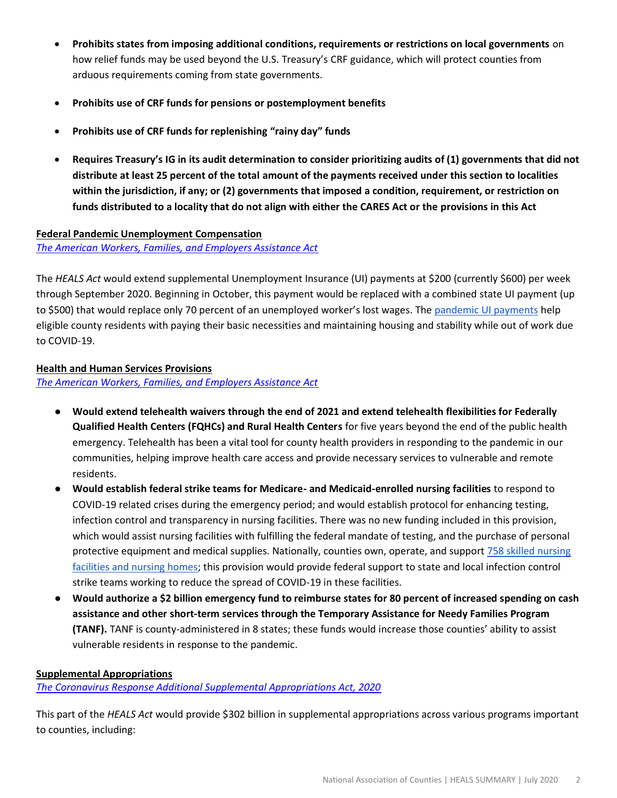- **Prohibits states from imposing additional conditions, requirements or restrictions on local governments** on how relief funds may be used beyond the U.S. Treasury's CRF guidance, which will protect counties from arduous requirements coming from state governments.
- **Prohibits use of CRF funds for pensions or postemployment benefits**
- **Prohibits use of CRF funds for replenishing "rainy day" funds**
- **Requires Treasury's IG in its audit determination to consider prioritizing audits of (1) governments that did not distribute at least 25 percent of the total amount of the payments received under this section to localities within the jurisdiction, if any; or (2) governments that imposed a condition, requirement, or restriction on funds distributed to a locality that do not align with either the CARES Act or the provisions in this Act**

#### **Federal Pandemic Unemployment Compensation**

*[The American Workers, Families, and Employers Assistance Act](https://www.naco.org/sites/default/files/documents/SFC%20CARES%202.0%20Section-by-Section.pdf)*

The *HEALS Act* would extend supplemental Unemployment Insurance (UI) payments at \$200 (currently \$600) per week through September 2020. Beginning in October, this payment would be replaced with a combined state UI payment (up to \$500) that would replace only 70 percent of an unemployed worker's lost wages. The [pandemic UI payments](https://www.naco.org/sites/default/files/documents/NACo%20Brief%20on%20Paid%20Leave%20and%20Unemployment%20Provisions%20for%20Counties.pdf) help eligible county residents with paying their basic necessities and maintaining housing and stability while out of work due to COVID-19.

## **Health and Human Services Provisions**

*[The American Workers, Families, and Employers Assistance Act](https://www.naco.org/sites/default/files/documents/SFC%20CARES%202.0%20Section-by-Section.pdf)*

- **Would extend telehealth waivers through the end of 2021 and extend telehealth flexibilities for Federally Qualified Health Centers (FQHCs) and Rural Health Centers** for five years beyond the end of the public health emergency. Telehealth has been a vital tool for county health providers in responding to the pandemic in our communities, helping improve health care access and provide necessary services to vulnerable and remote residents.
- **Would establish federal strike teams for Medicare- and Medicaid-enrolled nursing facilities** to respond to COVID-19 related crises during the emergency period; and would establish protocol for enhancing testing, infection control and transparency in nursing facilities. There was no new funding included in this provision, which would assist nursing facilities with fulfilling the federal mandate of testing, and the purchase of personal protective equipment and medical supplies. Nationally, counties own, operate, and support [758 skilled nursing](https://www.naco.org/sites/default/files/documents/Nursing%20Homes%20and%20COVID-19_v5_06.19.20.pdf)  [facilities and nursing homes;](https://www.naco.org/sites/default/files/documents/Nursing%20Homes%20and%20COVID-19_v5_06.19.20.pdf) this provision would provide federal support to state and local infection control strike teams working to reduce the spread of COVID-19 in these facilities.
- **Would authorize a \$2 billion emergency fund to reimburse states for 80 percent of increased spending on cash assistance and other short-term services through the Temporary Assistance for Needy Families Program (TANF).** TANF is county-administered in 8 states; these funds would increase those counties' ability to assist vulnerable residents in response to the pandemic.

## **Supplemental Appropriations**

*[The Coronavirus Response Additional Supplemental Appropriations Act, 2020](https://www.naco.org/sites/default/files/documents/Coronavirus%20Response%20Additional%20Supplemental%20Appropriations%20Act%20Text.PDF)*

This part of the *HEALS Act* would provide \$302 billion in supplemental appropriations across various programs important to counties, including: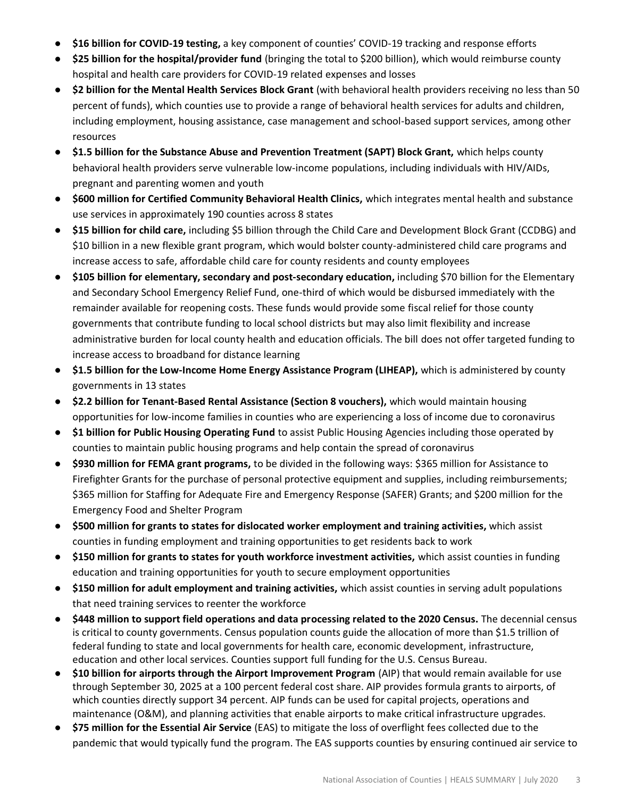- \$16 billion for COVID-19 testing, a key component of counties' COVID-19 tracking and response efforts
- **\$25 billion for the hospital/provider fund** (bringing the total to \$200 billion), which would reimburse county hospital and health care providers for COVID-19 related expenses and losses
- **\$2 billion for the Mental Health Services Block Grant** (with behavioral health providers receiving no less than 50 percent of funds), which counties use to provide a range of behavioral health services for adults and children, including employment, housing assistance, case management and school-based support services, among other resources
- **\$1.5 billion for the Substance Abuse and Prevention Treatment (SAPT) Block Grant,** which helps county behavioral health providers serve vulnerable low-income populations, including individuals with HIV/AIDs, pregnant and parenting women and youth
- **\$600 million for Certified Community Behavioral Health Clinics,** which integrates mental health and substance use services in approximately 190 counties across 8 states
- **\$15 billion for child care,** including \$5 billion through the Child Care and Development Block Grant (CCDBG) and \$10 billion in a new flexible grant program, which would bolster county-administered child care programs and increase access to safe, affordable child care for county residents and county employees
- \$105 billion for elementary, secondary and post-secondary education, including \$70 billion for the Elementary and Secondary School Emergency Relief Fund, one-third of which would be disbursed immediately with the remainder available for reopening costs. These funds would provide some fiscal relief for those county governments that contribute funding to local school districts but may also limit flexibility and increase administrative burden for local county health and education officials. The bill does not offer targeted funding to increase access to broadband for distance learning
- **\$1.5 billion for the Low-Income Home Energy Assistance Program (LIHEAP),** which is administered by county governments in 13 states
- **\$2.2 billion for Tenant-Based Rental Assistance (Section 8 vouchers),** which would maintain housing opportunities for low-income families in counties who are experiencing a loss of income due to coronavirus
- **\$1 billion for Public Housing Operating Fund** to assist Public Housing Agencies including those operated by counties to maintain public housing programs and help contain the spread of coronavirus
- **\$930 million for FEMA grant programs,** to be divided in the following ways: \$365 million for Assistance to Firefighter Grants for the purchase of personal protective equipment and supplies, including reimbursements; \$365 million for Staffing for Adequate Fire and Emergency Response (SAFER) Grants; and \$200 million for the Emergency Food and Shelter Program
- **\$500 million for grants to states for dislocated worker employment and training activities,** which assist counties in funding employment and training opportunities to get residents back to work
- **\$150 million for grants to states for youth workforce investment activities,** which assist counties in funding education and training opportunities for youth to secure employment opportunities
- **\$150 million for adult employment and training activities,** which assist counties in serving adult populations that need training services to reenter the workforce
- **\$448 million to support field operations and data processing related to the 2020 Census.** The decennial census is critical to county governments. Census population counts guide the allocation of more than \$1.5 trillion of federal funding to state and local governments for health care, economic development, infrastructure, education and other local services. Counties support full funding for the U.S. Census Bureau.
- **\$10 billion for airports through the Airport Improvement Program** (AIP) that would remain available for use through September 30, 2025 at a 100 percent federal cost share. AIP provides formula grants to airports, of which counties directly support 34 percent. AIP funds can be used for capital projects, operations and maintenance (O&M), and planning activities that enable airports to make critical infrastructure upgrades.
- **\$75 million for the Essential Air Service** (EAS) to mitigate the loss of overflight fees collected due to the pandemic that would typically fund the program. The EAS supports counties by ensuring continued air service to